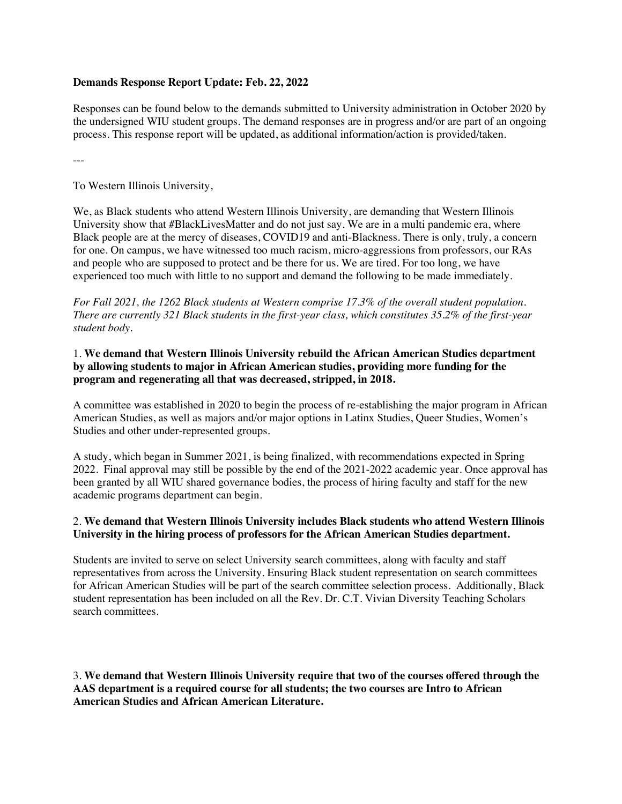### **Demands Response Report Update: Feb. 22, 2022**

Responses can be found below to the demands submitted to University administration in October 2020 by the undersigned WIU student groups. The demand responses are in progress and/or are part of an ongoing process. This response report will be updated, as additional information/action is provided/taken.

---

To Western Illinois University,

We, as Black students who attend Western Illinois University, are demanding that Western Illinois University show that #BlackLivesMatter and do not just say. We are in a multi pandemic era, where Black people are at the mercy of diseases, COVID19 and anti-Blackness. There is only, truly, a concern for one. On campus, we have witnessed too much racism, micro-aggressions from professors, our RAs and people who are supposed to protect and be there for us. We are tired. For too long, we have experienced too much with little to no support and demand the following to be made immediately.

*For Fall 2021, the 1262 Black students at Western comprise 17.3% of the overall student population. There are currently 321 Black students in the first-year class, which constitutes 35.2% of the first-year student body.*

### 1. **We demand that Western Illinois University rebuild the African American Studies department by allowing students to major in African American studies, providing more funding for the program and regenerating all that was decreased, stripped, in 2018.**

A committee was established in 2020 to begin the process of re-establishing the major program in African American Studies, as well as majors and/or major options in Latinx Studies, Queer Studies, Women's Studies and other under-represented groups.

A study, which began in Summer 2021, is being finalized, with recommendations expected in Spring 2022. Final approval may still be possible by the end of the 2021-2022 academic year. Once approval has been granted by all WIU shared governance bodies, the process of hiring faculty and staff for the new academic programs department can begin.

## 2. **We demand that Western Illinois University includes Black students who attend Western Illinois University in the hiring process of professors for the African American Studies department.**

Students are invited to serve on select University search committees, along with faculty and staff representatives from across the University. Ensuring Black student representation on search committees for African American Studies will be part of the search committee selection process. Additionally, Black student representation has been included on all the Rev. Dr. C.T. Vivian Diversity Teaching Scholars search committees.

3. **We demand that Western Illinois University require that two of the courses offered through the AAS department is a required course for all students; the two courses are Intro to African American Studies and African American Literature.**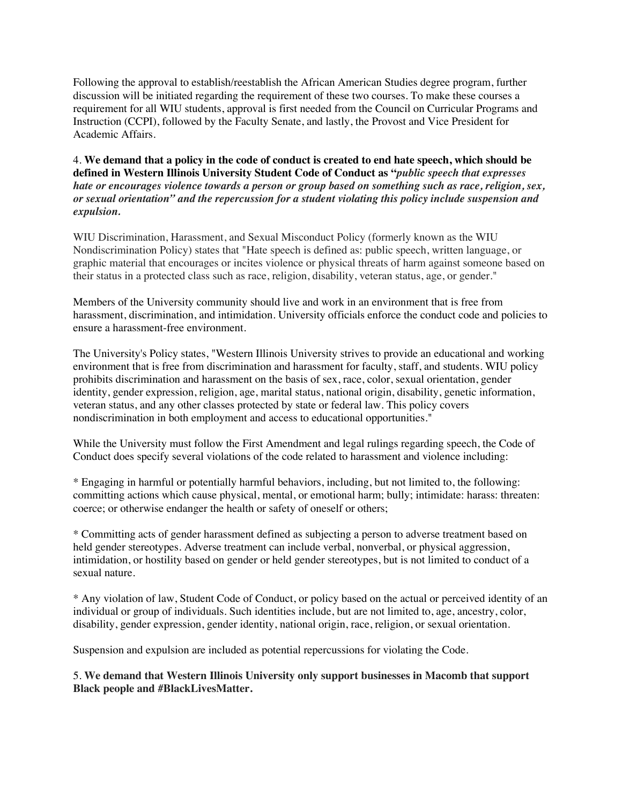Following the approval to establish/reestablish the African American Studies degree program, further discussion will be initiated regarding the requirement of these two courses. To make these courses a requirement for all WIU students, approval is first needed from the Council on Curricular Programs and Instruction (CCPI), followed by the Faculty Senate, and lastly, the Provost and Vice President for Academic Affairs.

4. **We demand that a policy in the code of conduct is created to end hate speech, which should be defined in Western Illinois University Student Code of Conduct as "***public speech that expresses hate or encourages violence towards a person or group based on something such as race, religion, sex, or sexual orientation" and the repercussion for a student violating this policy include suspension and expulsion.* 

WIU Discrimination, Harassment, and Sexual Misconduct Policy (formerly known as the WIU Nondiscrimination Policy) states that "Hate speech is defined as: public speech, written language, or graphic material that encourages or incites violence or physical threats of harm against someone based on their status in a protected class such as race, religion, disability, veteran status, age, or gender."

Members of the University community should live and work in an environment that is free from harassment, discrimination, and intimidation. University officials enforce the conduct code and policies to ensure a harassment-free environment.

The University's Policy states, "Western Illinois University strives to provide an educational and working environment that is free from discrimination and harassment for faculty, staff, and students. WIU policy prohibits discrimination and harassment on the basis of sex, race, color, sexual orientation, gender identity, gender expression, religion, age, marital status, national origin, disability, genetic information, veteran status, and any other classes protected by state or federal law. This policy covers nondiscrimination in both employment and access to educational opportunities."

While the University must follow the First Amendment and legal rulings regarding speech, the Code of Conduct does specify several violations of the code related to harassment and violence including:

\* Engaging in harmful or potentially harmful behaviors, including, but not limited to, the following: committing actions which cause physical, mental, or emotional harm; bully; intimidate: harass: threaten: coerce; or otherwise endanger the health or safety of oneself or others;

\* Committing acts of gender harassment defined as subjecting a person to adverse treatment based on held gender stereotypes. Adverse treatment can include verbal, nonverbal, or physical aggression, intimidation, or hostility based on gender or held gender stereotypes, but is not limited to conduct of a sexual nature.

\* Any violation of law, Student Code of Conduct, or policy based on the actual or perceived identity of an individual or group of individuals. Such identities include, but are not limited to, age, ancestry, color, disability, gender expression, gender identity, national origin, race, religion, or sexual orientation.

Suspension and expulsion are included as potential repercussions for violating the Code.

5. **We demand that Western Illinois University only support businesses in Macomb that support Black people and #BlackLivesMatter.**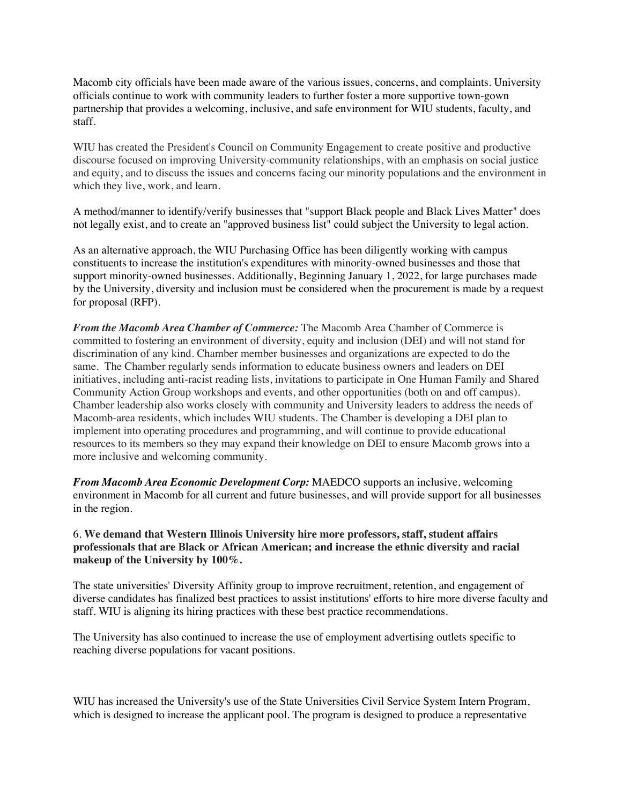Macomb city officials have been made aware of the various issues, concerns, and complaints. University officials continue to work with community leaders to further foster a more supportive town-gown partnership that provides a welcoming, inclusive, and safe environment for WIU students, faculty, and staff.

WIU has created the President's Council on Community Engagement to create positive and productive discourse focused on improving University-community relationships, with an emphasis on social justice and equity, and to discuss the issues and concerns facing our minority populations and the environment in which they live, work, and learn.

A method/manner to identify/verify businesses that "support Black people and Black Lives Matter" does not legally exist, and to create an "approved business list" could subject the University to legal action.

As an alternative approach, the WIU Purchasing Office has been diligently working with campus constituents to increase the institution's expenditures with minority-owned businesses and those that support minority-owned businesses. Additionally, Beginning January 1, 2022, for large purchases made by the University, diversity and inclusion must be considered when the procurement is made by a request for proposal (RFP).

*From the Macomb Area Chamber of Commerce:* The Macomb Area Chamber of Commerce is committed to fostering an environment of diversity, equity and inclusion (DEI) and will not stand for discrimination of any kind. Chamber member businesses and organizations are expected to do the same. The Chamber regularly sends information to educate business owners and leaders on DEI initiatives, including anti-racist reading lists, invitations to participate in One Human Family and Shared Community Action Group workshops and events, and other opportunities (both on and off campus). Chamber leadership also works closely with community and University leaders to address the needs of Macomb-area residents, which includes WIU students. The Chamber is developing a DEI plan to implement into operating procedures and programming, and will continue to provide educational resources to its members so they may expand their knowledge on DEI to ensure Macomb grows into a more inclusive and welcoming community.

*From Macomb Area Economic Development Corp:* MAEDCO supports an inclusive, welcoming environment in Macomb for all current and future businesses, and will provide support for all businesses in the region.

#### 6. **We demand that Western Illinois University hire more professors, staff, student affairs professionals that are Black or African American; and increase the ethnic diversity and racial makeup of the University by 100%.**

The state universities' Diversity Affinity group to improve recruitment, retention, and engagement of diverse candidates has finalized best practices to assist institutions' efforts to hire more diverse faculty and staff. WIU is aligning its hiring practices with these best practice recommendations.

The University has also continued to increase the use of employment advertising outlets specific to reaching diverse populations for vacant positions.

WIU has increased the University's use of the State Universities Civil Service System Intern Program, which is designed to increase the applicant pool. The program is designed to produce a representative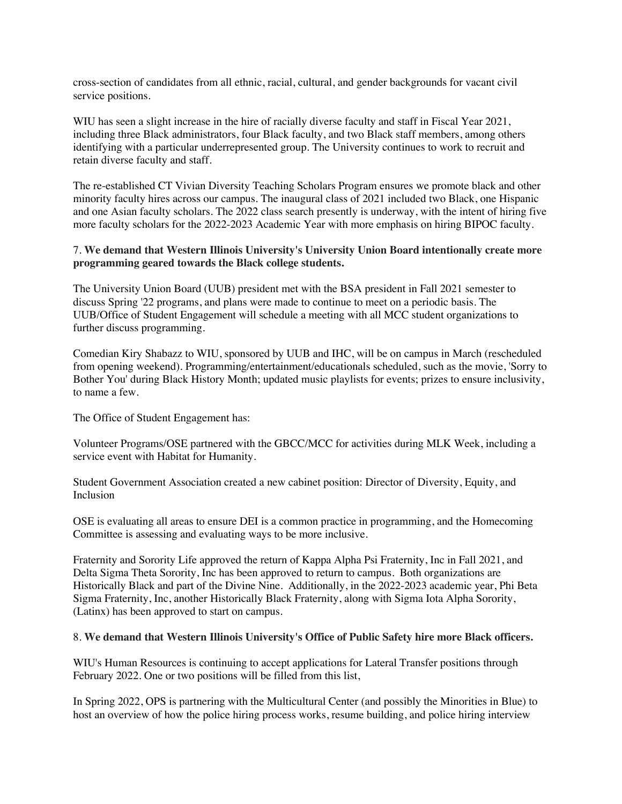cross-section of candidates from all ethnic, racial, cultural, and gender backgrounds for vacant civil service positions.

WIU has seen a slight increase in the hire of racially diverse faculty and staff in Fiscal Year 2021, including three Black administrators, four Black faculty, and two Black staff members, among others identifying with a particular underrepresented group. The University continues to work to recruit and retain diverse faculty and staff.

The re-established CT Vivian Diversity Teaching Scholars Program ensures we promote black and other minority faculty hires across our campus. The inaugural class of 2021 included two Black, one Hispanic and one Asian faculty scholars. The 2022 class search presently is underway, with the intent of hiring five more faculty scholars for the 2022-2023 Academic Year with more emphasis on hiring BIPOC faculty.

#### 7. **We demand that Western Illinois University's University Union Board intentionally create more programming geared towards the Black college students.**

The University Union Board (UUB) president met with the BSA president in Fall 2021 semester to discuss Spring '22 programs, and plans were made to continue to meet on a periodic basis. The UUB/Office of Student Engagement will schedule a meeting with all MCC student organizations to further discuss programming.

Comedian Kiry Shabazz to WIU, sponsored by UUB and IHC, will be on campus in March (rescheduled from opening weekend). Programming/entertainment/educationals scheduled, such as the movie, 'Sorry to Bother You' during Black History Month; updated music playlists for events; prizes to ensure inclusivity, to name a few.

The Office of Student Engagement has:

Volunteer Programs/OSE partnered with the GBCC/MCC for activities during MLK Week, including a service event with Habitat for Humanity.

Student Government Association created a new cabinet position: Director of Diversity, Equity, and Inclusion

OSE is evaluating all areas to ensure DEI is a common practice in programming, and the Homecoming Committee is assessing and evaluating ways to be more inclusive.

Fraternity and Sorority Life approved the return of Kappa Alpha Psi Fraternity, Inc in Fall 2021, and Delta Sigma Theta Sorority, Inc has been approved to return to campus. Both organizations are Historically Black and part of the Divine Nine. Additionally, in the 2022-2023 academic year, Phi Beta Sigma Fraternity, Inc, another Historically Black Fraternity, along with Sigma Iota Alpha Sorority, (Latinx) has been approved to start on campus.

#### 8. **We demand that Western Illinois University's Office of Public Safety hire more Black officers.**

WIU's Human Resources is continuing to accept applications for Lateral Transfer positions through February 2022. One or two positions will be filled from this list,

In Spring 2022, OPS is partnering with the Multicultural Center (and possibly the Minorities in Blue) to host an overview of how the police hiring process works, resume building, and police hiring interview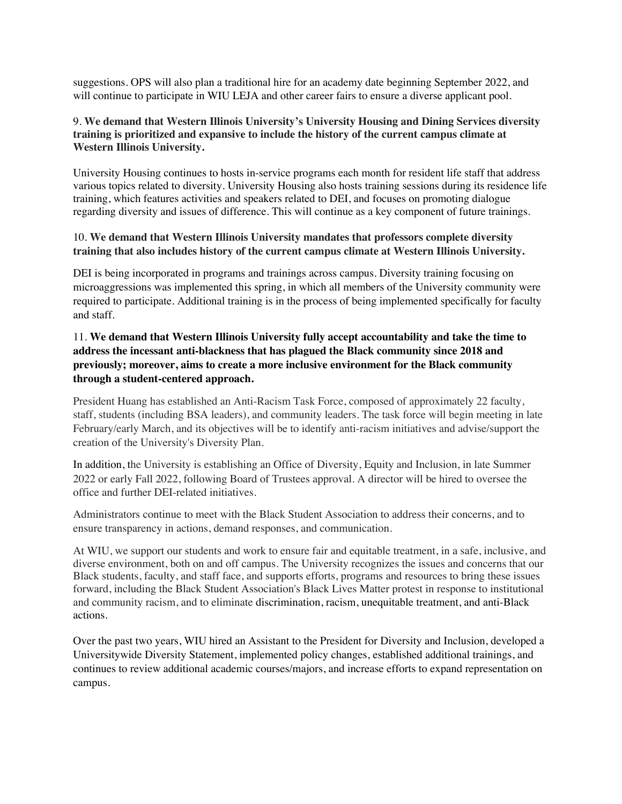suggestions. OPS will also plan a traditional hire for an academy date beginning September 2022, and will continue to participate in WIU LEJA and other career fairs to ensure a diverse applicant pool.

### 9. **We demand that Western Illinois University's University Housing and Dining Services diversity training is prioritized and expansive to include the history of the current campus climate at Western Illinois University.**

University Housing continues to hosts in-service programs each month for resident life staff that address various topics related to diversity. University Housing also hosts training sessions during its residence life training, which features activities and speakers related to DEI, and focuses on promoting dialogue regarding diversity and issues of difference. This will continue as a key component of future trainings.

## 10. **We demand that Western Illinois University mandates that professors complete diversity training that also includes history of the current campus climate at Western Illinois University.**

DEI is being incorporated in programs and trainings across campus. Diversity training focusing on microaggressions was implemented this spring, in which all members of the University community were required to participate. Additional training is in the process of being implemented specifically for faculty and staff.

# 11. **We demand that Western Illinois University fully accept accountability and take the time to address the incessant anti-blackness that has plagued the Black community since 2018 and previously; moreover, aims to create a more inclusive environment for the Black community through a student-centered approach.**

President Huang has established an Anti-Racism Task Force, composed of approximately 22 faculty, staff, students (including BSA leaders), and community leaders. The task force will begin meeting in late February/early March, and its objectives will be to identify anti-racism initiatives and advise/support the creation of the University's Diversity Plan.

In addition, the University is establishing an Office of Diversity, Equity and Inclusion, in late Summer 2022 or early Fall 2022, following Board of Trustees approval. A director will be hired to oversee the office and further DEI-related initiatives.

Administrators continue to meet with the Black Student Association to address their concerns, and to ensure transparency in actions, demand responses, and communication.

At WIU, we support our students and work to ensure fair and equitable treatment, in a safe, inclusive, and diverse environment, both on and off campus. The University recognizes the issues and concerns that our Black students, faculty, and staff face, and supports efforts, programs and resources to bring these issues forward, including the Black Student Association's Black Lives Matter protest in response to institutional and community racism, and to eliminate discrimination, racism, unequitable treatment, and anti-Black actions.

Over the past two years, WIU hired an Assistant to the President for Diversity and Inclusion, developed a Universitywide Diversity Statement, implemented policy changes, established additional trainings, and continues to review additional academic courses/majors, and increase efforts to expand representation on campus.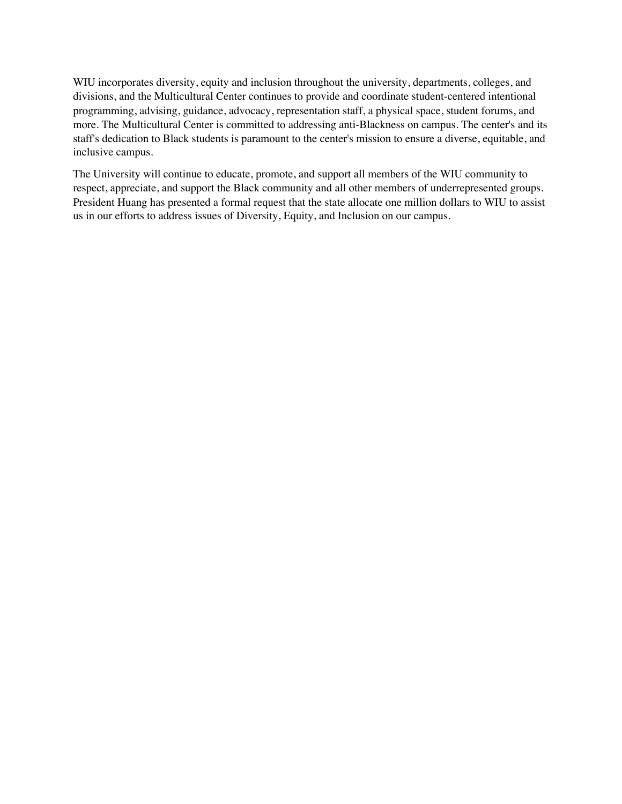WIU incorporates diversity, equity and inclusion throughout the university, departments, colleges, and divisions, and the Multicultural Center continues to provide and coordinate student-centered intentional programming, advising, guidance, advocacy, representation staff, a physical space, student forums, and more. The Multicultural Center is committed to addressing anti-Blackness on campus. The center's and its staff's dedication to Black students is paramount to the center's mission to ensure a diverse, equitable, and inclusive campus.

The University will continue to educate, promote, and support all members of the WIU community to respect, appreciate, and support the Black community and all other members of underrepresented groups. President Huang has presented a formal request that the state allocate one million dollars to WIU to assist us in our efforts to address issues of Diversity, Equity, and Inclusion on our campus.